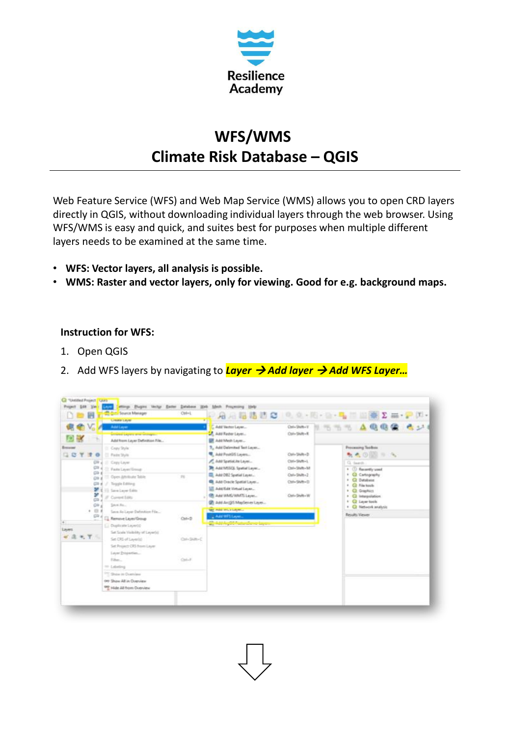

## **WFS/WMS Climate Risk Database – QGIS**

Web Feature Service (WFS) and Web Map Service (WMS) allows you to open CRD layers directly in QGIS, without downloading individual layers through the web browser. Using WFS/WMS is easy and quick, and suites best for purposes when multiple different layers needs to be examined at the same time.

- **WFS: Vector layers, all analysis is possible.**
- **WMS: Raster and vector layers, only for viewing. Good for e.g. background maps.**

## **Instruction for WFS:**

- 1. Open QGIS
- 2. Add WFS layers by navigating to *Layer* → *Add layer* → *Add WFS Layer…*

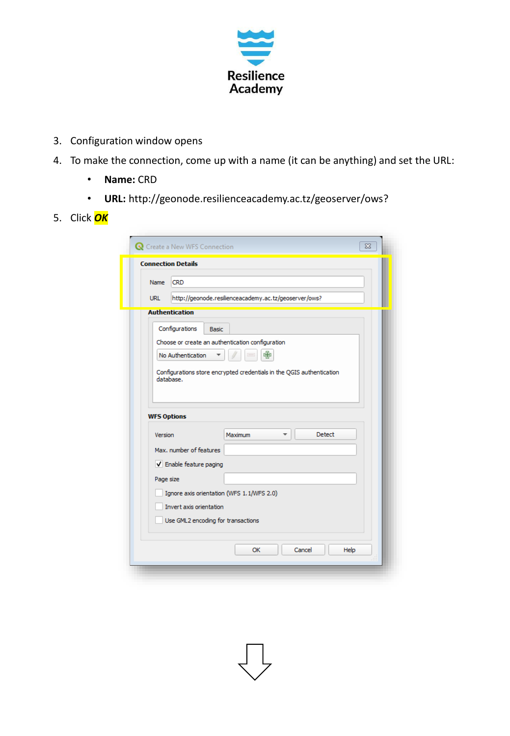

- 3. Configuration window opens
- 4. To make the connection, come up with a name (it can be anything) and set the URL:
	- **Name:** CRD
	- **URL:** http://geonode.resilienceacademy.ac.tz/geoserver/ows?
- 5. Click *OK*

|                    | <b>Connection Details</b>                                                          |
|--------------------|------------------------------------------------------------------------------------|
| <b>Name</b>        | <b>CRD</b>                                                                         |
| <b>URL</b>         | http://geonode.resilienceacademy.ac.tz/geoserver/ows?                              |
|                    | <b>Authentication</b>                                                              |
|                    | Configurations<br><b>Basic</b>                                                     |
|                    | Choose or create an authentication configuration                                   |
|                    | 中<br>No Authentication                                                             |
|                    | Configurations store encrypted credentials in the QGIS authentication<br>database. |
| <b>WFS Options</b> |                                                                                    |
|                    |                                                                                    |
| Version            | <b>Detect</b><br><b>Maximum</b>                                                    |
|                    | Max. number of features                                                            |
|                    | V Enable feature paging                                                            |
| Page size          |                                                                                    |
|                    | Ignore axis orientation (WFS 1.1/WFS 2.0)                                          |
|                    | Invert axis orientation                                                            |
|                    | Use GML2 encoding for transactions                                                 |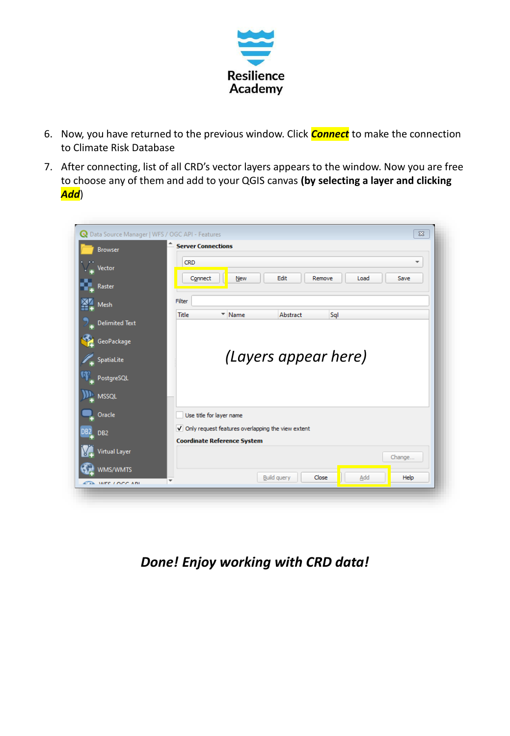

- 6. Now, you have returned to the previous window. Click *Connect* to make the connection to Climate Risk Database
- 7. After connecting, list of all CRD's vector layers appears to the window. Now you are free to choose any of them and add to your QGIS canvas **(by selecting a layer and clicking**  *Add*)

| <b>Browser</b>              | <b>Server Connections</b>                                           |
|-----------------------------|---------------------------------------------------------------------|
|                             | <b>CRD</b><br>$\overline{\phantom{a}}$                              |
| Vector                      |                                                                     |
| Raster                      | Edit<br>Connect<br>Remove<br><b>New</b><br>Save<br>Load             |
|                             | Filter                                                              |
| Mesh                        | <b>Title</b><br>Name<br>Abstract<br>Sql<br>$\overline{\phantom{a}}$ |
| <b>Delimited Text</b>       |                                                                     |
| GeoPackage                  |                                                                     |
|                             |                                                                     |
|                             |                                                                     |
| <b>SpatiaLite</b>           | (Layers appear here)                                                |
| PostgreSQL                  |                                                                     |
|                             |                                                                     |
| <b>MSSQL</b>                |                                                                     |
| Oracle                      | Use title for layer name                                            |
|                             | √ Only request features overlapping the view extent                 |
| DB <sub>2</sub>             | <b>Coordinate Reference System</b>                                  |
| Virtual Layer               | Change                                                              |
| DB <sub>2</sub><br>WMS/WMTS |                                                                     |

*Done! Enjoy working with CRD data!*